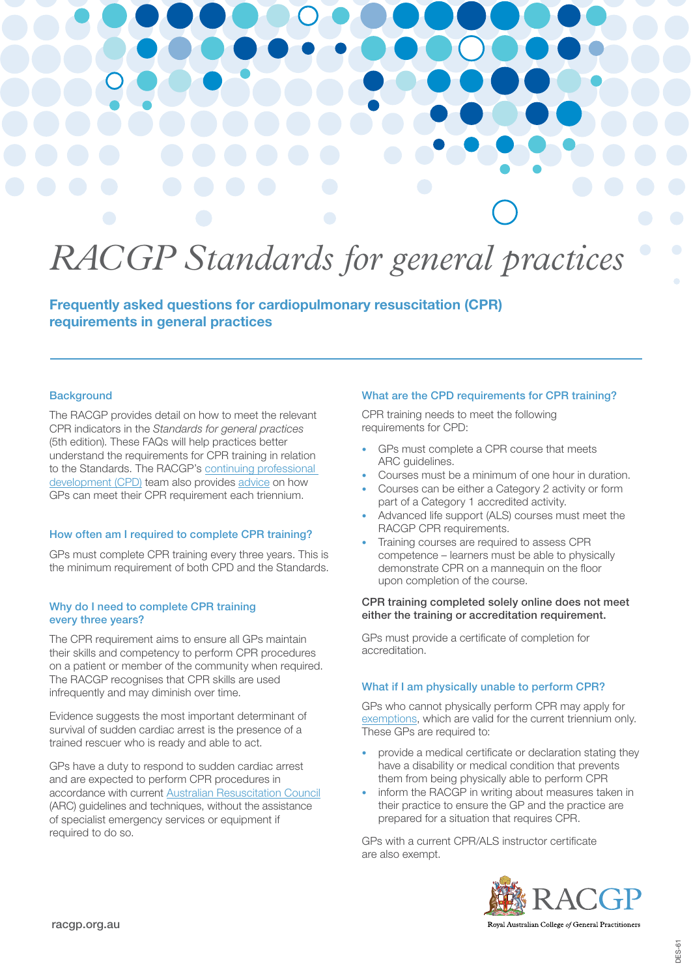# *RACGP Standards for general practices*

Frequently asked questions for cardiopulmonary resuscitation (CPR) requirements in general practices

### **Background**

The RACGP provides detail on how to meet the relevant CPR indicators in the *Standards for general practices* (5th edition). These FAQs will help practices better understand the requirements for CPR training in relation to the Standards. The RACGP's [continuing professional](https://www.racgp.org.au/education/professional-development/qi-cpd/2022-triennium)  [development \(CPD\)](https://www.racgp.org.au/education/professional-development/qi-cpd/2022-triennium) team also provides [advice](https://www.racgp.org.au/education/professional-development/qi-cpd/about/cardiopulmonary-resuscitation-cpr) on how GPs can meet their CPR requirement each triennium.

### How often am I required to complete CPR training?

GPs must complete CPR training every three years. This is the minimum requirement of both CPD and the Standards.

### Why do I need to complete CPR training every three years?

The CPR requirement aims to ensure all GPs maintain their skills and competency to perform CPR procedures on a patient or member of the community when required. The RACGP recognises that CPR skills are used infrequently and may diminish over time.

Evidence suggests the most important determinant of survival of sudden cardiac arrest is the presence of a trained rescuer who is ready and able to act.

GPs have a duty to respond to sudden cardiac arrest and are expected to perform CPR procedures in accordance with current [Australian Resuscitation Council](https://resus.org.au/) (ARC) guidelines and techniques, without the assistance of specialist emergency services or equipment if required to do so.

### What are the CPD requirements for CPR training?

CPR training needs to meet the following requirements for CPD:

- GPs must complete a CPR course that meets ARC guidelines.
- Courses must be a minimum of one hour in duration.
- Courses can be either a Category 2 activity or form part of a Category 1 accredited activity.
- Advanced life support (ALS) courses must meet the RACGP CPR requirements.
- Training courses are required to assess CPR competence – learners must be able to physically demonstrate CPR on a mannequin on the floor upon completion of the course.

### CPR training completed solely online does not meet either the training or accreditation requirement.

GPs must provide a certificate of completion for accreditation.

### What if I am physically unable to perform CPR?

GPs who cannot physically perform CPR may apply for [exemptions](https://www.racgp.org.au/education/professional-development/qi-cpd/about/cardiopulmonary-resuscitation-cpr), which are valid for the current triennium only. These GPs are required to:

- provide a medical certificate or declaration stating they have a disability or medical condition that prevents them from being physically able to perform CPR
- inform the RACGP in writing about measures taken in their practice to ensure the GP and the practice are prepared for a situation that requires CPR.

GPs with a current CPR/ALS instructor certificate are also exempt.



Royal Australian College of General Practitioners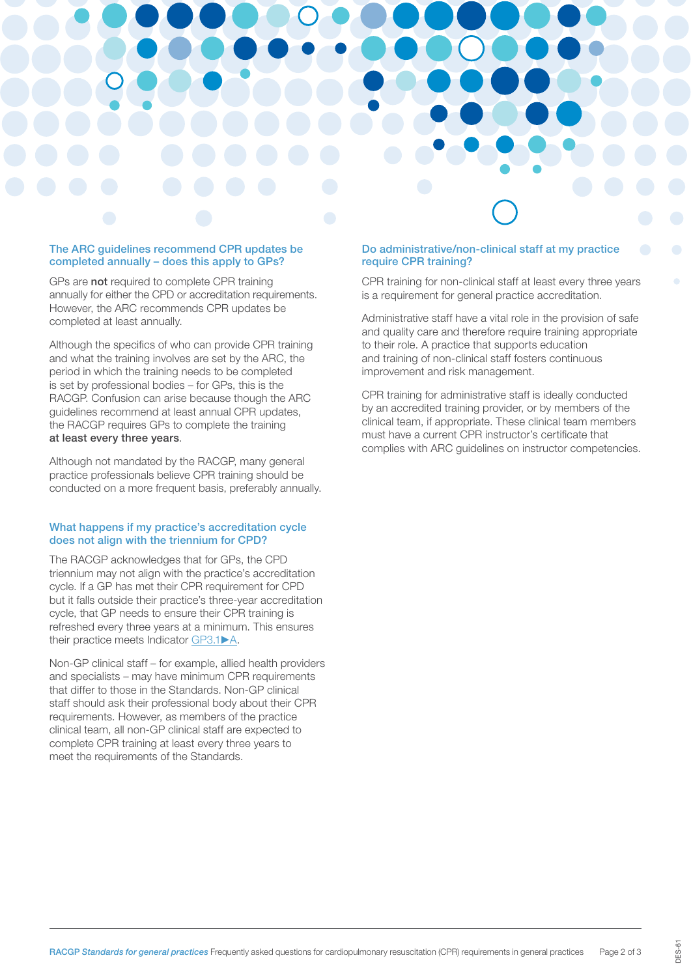### The ARC guidelines recommend CPR updates be completed annually – does this apply to GPs?

GPs are not required to complete CPR training annually for either the CPD or accreditation requirements. However, the ARC recommends CPR updates be completed at least annually.

Although the specifics of who can provide CPR training and what the training involves are set by the ARC, the period in which the training needs to be completed is set by professional bodies – for GPs, this is the RACGP. Confusion can arise because though the ARC guidelines recommend at least annual CPR updates, the RACGP requires GPs to complete the training at least every three years.

Although not mandated by the RACGP, many general practice professionals believe CPR training should be conducted on a more frequent basis, preferably annually.

### What happens if my practice's accreditation cycle does not align with the triennium for CPD?

The RACGP acknowledges that for GPs, the CPD triennium may not align with the practice's accreditation cycle. If a GP has met their CPR requirement for CPD but it falls outside their practice's three-year accreditation cycle, that GP needs to ensure their CPR training is refreshed every three years at a minimum. This ensures their practice meets Indicator [GP3.1](https://www.racgp.org.au/FSDEDEV/media/documents/Running%20a%20practice/Practice%20standards/5th%20edition/Standards-for-general-practice-5th-edition.pdf#page=146)►A.

Non-GP clinical staff – for example, allied health providers and specialists – may have minimum CPR requirements that differ to those in the Standards. Non-GP clinical staff should ask their professional body about their CPR requirements. However, as members of the practice clinical team, all non-GP clinical staff are expected to complete CPR training at least every three years to meet the requirements of the Standards.

### Do administrative/non-clinical staff at my practice require CPR training?

CPR training for non-clinical staff at least every three years is a requirement for general practice accreditation.

Administrative staff have a vital role in the provision of safe and quality care and therefore require training appropriate to their role. A practice that supports education and training of non-clinical staff fosters continuous improvement and risk management.

CPR training for administrative staff is ideally conducted by an accredited training provider, or by members of the clinical team, if appropriate. These clinical team members must have a current CPR instructor's certificate that complies with ARC guidelines on instructor competencies.